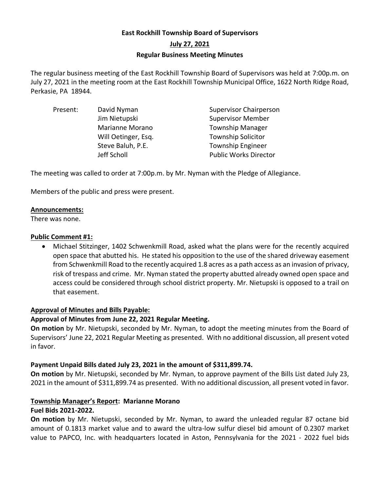# **East Rockhill Township Board of Supervisors July 27, 2021 Regular Business Meeting Minutes**

The regular business meeting of the East Rockhill Township Board of Supervisors was held at 7:00p.m. on July 27, 2021 in the meeting room at the East Rockhill Township Municipal Office, 1622 North Ridge Road, Perkasie, PA 18944.

| Present: | David Nyman         | <b>Supervisor Chairperson</b> |
|----------|---------------------|-------------------------------|
|          | Jim Nietupski       | <b>Supervisor Member</b>      |
|          | Marianne Morano     | <b>Township Manager</b>       |
|          | Will Oetinger, Esq. | <b>Township Solicitor</b>     |
|          | Steve Baluh, P.E.   | <b>Township Engineer</b>      |
|          | Jeff Scholl         | <b>Public Works Director</b>  |

The meeting was called to order at 7:00p.m. by Mr. Nyman with the Pledge of Allegiance.

Members of the public and press were present.

#### **Announcements:**

There was none.

#### **Public Comment #1:**

• Michael Stitzinger, 1402 Schwenkmill Road, asked what the plans were for the recently acquired open space that abutted his. He stated his opposition to the use of the shared driveway easement from Schwenkmill Road to the recently acquired 1.8 acres as a path access as an invasion of privacy, risk of trespass and crime. Mr. Nyman stated the property abutted already owned open space and access could be considered through school district property. Mr. Nietupski is opposed to a trail on that easement.

#### **Approval of Minutes and Bills Payable:**

## **Approval of Minutes from June 22, 2021 Regular Meeting.**

**On motion** by Mr. Nietupski, seconded by Mr. Nyman, to adopt the meeting minutes from the Board of Supervisors' June 22, 2021 Regular Meeting as presented. With no additional discussion, all present voted in favor.

## **Payment Unpaid Bills dated July 23, 2021 in the amount of \$311,899.74.**

**On motion** by Mr. Nietupski, seconded by Mr. Nyman, to approve payment of the Bills List dated July 23, 2021 in the amount of \$311,899.74 as presented. With no additional discussion, all present voted in favor.

## **Township Manager's Report: Marianne Morano**

## **Fuel Bids 2021-2022.**

**On motion** by Mr. Nietupski, seconded by Mr. Nyman, to award the unleaded regular 87 octane bid amount of 0.1813 market value and to award the ultra-low sulfur diesel bid amount of 0.2307 market value to PAPCO, Inc. with headquarters located in Aston, Pennsylvania for the 2021 - 2022 fuel bids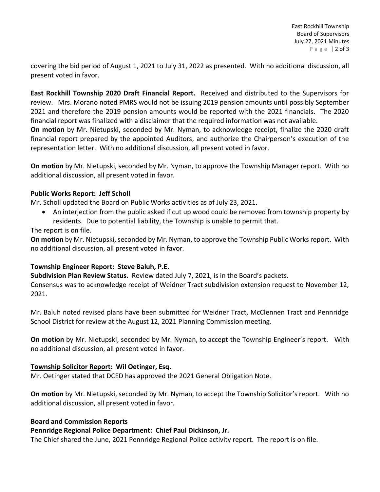covering the bid period of August 1, 2021 to July 31, 2022 as presented. With no additional discussion, all present voted in favor.

**East Rockhill Township 2020 Draft Financial Report.** Received and distributed to the Supervisors for review. Mrs. Morano noted PMRS would not be issuing 2019 pension amounts until possibly September 2021 and therefore the 2019 pension amounts would be reported with the 2021 financials. The 2020 financial report was finalized with a disclaimer that the required information was not available.

**On motion** by Mr. Nietupski, seconded by Mr. Nyman, to acknowledge receipt, finalize the 2020 draft financial report prepared by the appointed Auditors, and authorize the Chairperson's execution of the representation letter. With no additional discussion, all present voted in favor.

**On motion** by Mr. Nietupski, seconded by Mr. Nyman, to approve the Township Manager report. With no additional discussion, all present voted in favor.

## **Public Works Report: Jeff Scholl**

Mr. Scholl updated the Board on Public Works activities as of July 23, 2021.

• An interjection from the public asked if cut up wood could be removed from township property by residents. Due to potential liability, the Township is unable to permit that.

The report is on file.

**On motion** by Mr. Nietupski, seconded by Mr. Nyman, to approve the Township Public Works report. With no additional discussion, all present voted in favor.

## **Township Engineer Report: Steve Baluh, P.E.**

**Subdivision Plan Review Status.** Review dated July 7, 2021, is in the Board's packets.

Consensus was to acknowledge receipt of Weidner Tract subdivision extension request to November 12, 2021.

Mr. Baluh noted revised plans have been submitted for Weidner Tract, McClennen Tract and Pennridge School District for review at the August 12, 2021 Planning Commission meeting.

**On motion** by Mr. Nietupski, seconded by Mr. Nyman, to accept the Township Engineer's report. With no additional discussion, all present voted in favor.

## **Township Solicitor Report: Wil Oetinger, Esq.**

Mr. Oetinger stated that DCED has approved the 2021 General Obligation Note.

**On motion** by Mr. Nietupski, seconded by Mr. Nyman, to accept the Township Solicitor's report. With no additional discussion, all present voted in favor.

## **Board and Commission Reports**

# **Pennridge Regional Police Department: Chief Paul Dickinson, Jr.**

The Chief shared the June, 2021 Pennridge Regional Police activity report. The report is on file.